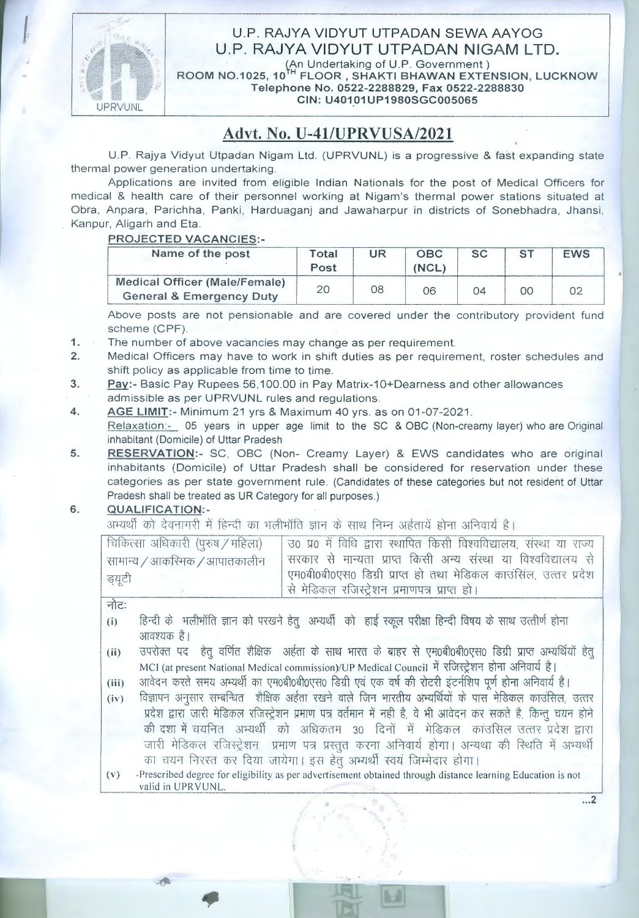

## U.P. RAJYA VIDYUT UTPADAN SEWA AAYOG U.P. RAJYA VIDYUT UTPADAN NIGAM LTD.<br>(An Undertaking of U.P. Government)

**ROOM** N0.1025, **10** H FLOOR, **SHAKTI BHAWAN EXTENSION, LUCKNOW Telephone No. 0522-2288829, Fax 0522-2288830 CIN: U40101UP1980SGC005065** 

## **Advt. No. U-41/UPRVUSA/2021**

U.P. Rajya Vidyut Utpadan Nigam Ltd. (UPRVUNL) is a progressive & fast expanding state thermal power generation undertaking.

Applications are invited from eligible Indian Nationals for the post of Medical Officers for medical & health care of their personnel working at Nigam's thermal power stations situated at Obra, Anpara, Parichha, Panki, Harduaganj and Jawaharpur in districts of Sonebhadra, Jhansi, Kanpur, Aligarh and Eta.

### **PROJECTED VACANCIES·-**

| Name of the post                                                                      | Total<br>Post | $_{\rm UR}$<br>08 | <b>OBC</b><br>(NCL) | <b>SC</b><br>04 | <b>ST</b><br>00 | <b>EWS</b><br>02 |
|---------------------------------------------------------------------------------------|---------------|-------------------|---------------------|-----------------|-----------------|------------------|
| Medical Officer (Male/Female)<br><b>General &amp; Emergency Duty</b>                  | 20            |                   | 06                  |                 |                 |                  |
| Above posts are not pensionable and are covered under the contributory provident fund |               |                   |                     |                 |                 |                  |

scheme (CPF).

**1.**  The number of above vacancies may change as per requirement.

- **2.**  Medical Officers may have to work in shift duties as per requirement, roster schedules and shift policy as applicable from time to time.
- **3.**  Pay:- Basic Pay Rupees 56,100.00 in Pay Matrix-10+Dearness and other allowances admissible as per UPRVUNL rules and regulations.
- **4. AGE LIMIT:-** Minimum 21 yrs & Maximum 40 yrs. as on 01-07-2021 .

Relaxation:- 05 years in upper age limit to the SC & OBC (Non-creamy layer) who are Original inhabitant (Domicile) of Uttar Pradesh

**5. RESERVATION:-** SC, OBC (Non- Creamy Layer) & EWS candidates who are original inhabitants (Domicile) of Uttar Pradesh shall be considered for reservation under these categories as per state government rule. (Candidates of these categories but not resident of Uttar Pradesh shall be treated as UR Category for all purposes.)

#### **6. QUALIFICATION.:-**

अभ्यर्थी को देवनागरी में हिन्दी का भलीभॉति ज्ञान के साथ निम्न अर्हतायें होना अनिवार्य है।

| चिकित्सा अधिकारी (पुरुष / महिला)       | उठ प्र0 में विधि द्वारा स्थापित किसी विश्वविद्यालय, संस्था या राज्य                                                                 |
|----------------------------------------|-------------------------------------------------------------------------------------------------------------------------------------|
| सामान्य / आकरिमक / आपातकालीन<br>ड्यूटी | सरकार से मान्यता प्राप्त किसी अन्य संस्था या विश्वविद्यालय से<br>। एम0बी0बी0एस0 डिग्री प्राप्त हो तथा मेडिकल काउंसिंल, उत्तर प्रदेश |
|                                        | से मेडिकल रजिस्ट्रेशन प्रमाणपत्र प्राप्त हो।                                                                                        |

नोट:

- (i) हिन्दी के भलीभॉति ज्ञान को परखने हेतु अभ्यर्थी को हाई स्कूल परीक्षा हिन्दी विषय के साथ उत्त्तीर्ण होना आवश्यक है।
- (ii) जपरोक्त पद हेतू वर्णित शैक्षिक अर्हता के साथ भारत के बाहर से एम0बी0बी0एस0 डिग्री प्राप्त अभ्यर्थियों हेतू MCI (at present National Medical commission)/UP Medical Council में रजिस्ट्रेशन होना अनिवार्य है।
- (iii) अावेदन करते समय अभ्यर्थी का एम0बी0बी0एस0 डिग्री एवं एक वर्ष की रोटरी इंटर्नशिप पूर्ण होना अनिवार्य है।
- (iv) विज्ञापन अनुसार सम्बन्धित शैक्षिक अर्हता रखने वाले जिन भारतीय अभ्यर्थियों के पास मेडिकल काउंसिल, उत्तर प्रदेश द्वारा जारी मेडिकल रजिस्ट्रेशन प्रमाण पत्र वर्तमान में नही है, वे भी आवेदन कर सकते है, किन्तु चयन होने की दशा में चयनित अभ्यर्थी को अधिकतम 30 दिनों में मेडिकल कांउसिल उत्तर प्रदेश द्वारा जारी मेडिकल रजिस्ट्रेशन प्रमाण पत्र प्रस्तुत करना अनिवार्य होगा। अन्यथा की स्थिति में अभ्यर्थी का चयन निरस्त कर दिया जायेगा। इस हेतू अभ्यर्थी स्वयं जिम्मेदार होगा। जारी मेडिकल रजिस्ट्रेशन - प्रमाण पत्र प्रस्तुत करना अनिवाये होगा। अन्यथा की स्थिति में अभ्यर्थी<br>का चयन निरस्त कर दिया जायेगा। इस हेतु अभ्यर्थी स्वयं जिम्मेदार होगा।<br>Prescribed degree for eligibility as per advertisement o
- (v) -Prescribed degree for eligibility as per advertisement obtained through distance learning Education is not

... 2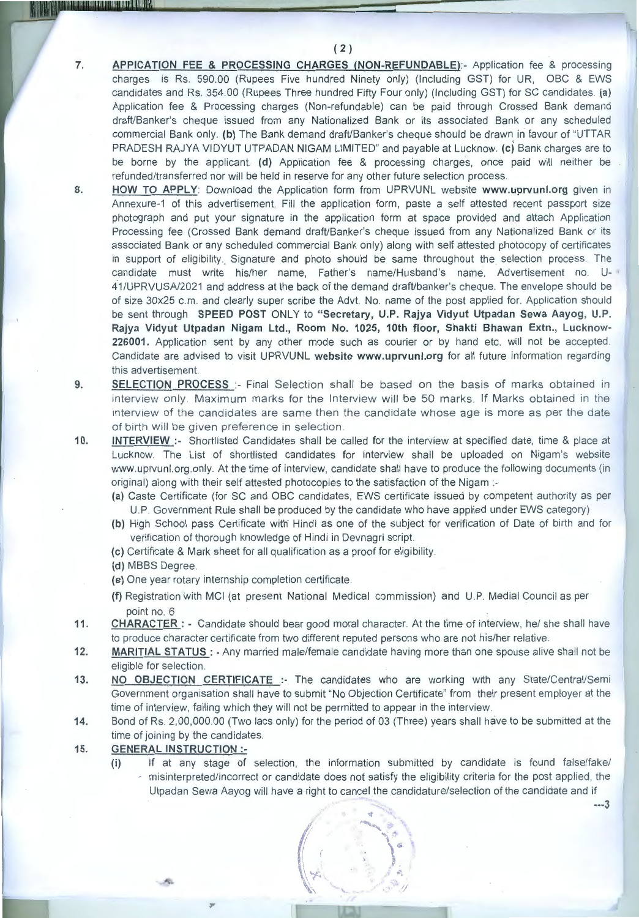( **2** )

- **7. APPICATION FEE & PROCESSING CHARGES (NON-REFUNDABLE):-** Application fee & processing charges is Rs. 590.00 (Rupees Five hundred Ninety only) (Including GST) for UR, OBC & EWS candidates and Rs. 354.00 (Rupees Three hundred Fifty Four only) (Including GST) for SC candidates. **(a)**  Application fee & Processing charges (Non-refundable) can be paid through Crossed Bank demand draft/Banker's cheque issued from any Nationalized Bank or its associated Bank or any scheduled commercial Bank only. **(b)** The Bank demand draft/Banker's cheque should be drawn iri favour of "UTTAR PRADESH RAJYA VIDYUT UTPADAN NIGAM LIMITED" and payable at Lucknow. **(c)** Bank charges are to be borne by the applicant. **(d)** Application fee & processing charges, once paid will neither be refunded/transferred nor will be held in reserve for any other future selection process.
- **8. HOW TO APPLY:** Download the Application form from UPRVUNL website **www.uprvunl.org** given in Annexure-1 of this advertisement. Fill the application form, paste a self attested recent passport size photograph and put your signature in the application form at space provided and attach Application Processing fee (Crossed Bank demand draft/Banker's cheque issued from any Nationalized Bank or its associated Bank or any scheduled commercial Bank only) along with self attested photocopy of certificates in support of eligibility. Signature and photo should be same throughout the selection process. The candidate must write his/her name, Father's name/Husband's name, Advertisement no. U- • 41 /U PRVUSA/2021 and address at the back of the demand draft/banker's cheque. The envelope should be of size 30x25 c.m. and clearly super scribe the Advt. No. name of the post applied for. Application should be sent through **SPEED POST** ONLY to **"Secretary, U.P. Rajya Vidyut Utpadan Sewa Aayog, U.P. Rajya Vidyut Utpadan Nigam Ltd., Room No. 1025, 10th floor, Shakti Bhawan Extn., Lucknow-226001.** Application sent by any other mode such as courier or by hand etc. will not be accepted. Candidate are advised to visit UPRVUNL **website www.uprvunl.org** for all future information regarding this advertisement.
- **9. SELECTION PROCESS** :- Final Selection shall be based on the basis of marks obtained in interview only. Maximum marks for the Interview will be 50 marks. If Marks obtained in the interview of the candidates are same then the candidate whose age is more as per the date of birth will be given preference in selection.
- **10. INTERVIEW** :- Shortlisted Candidates shall be called for the interview at specified date, time & place at Lucknow. The List of shortlisted candidates for interview shall be uploaded on Nigam's website www.uprvunl.org.only. At the time of interview, candidate shall have to produce the following documents (in original) along with their self attested photocopies to the satisfaction of the Nigam :-
	- **(a)** Caste Certificate (for SC and OBC candidates, EWS certificate issued by competent authority as per U.P. Government Rule shall be produced by the candidate who have applied under EWS category)
	- **(b)** High School pass Certificate with· Hindi as one of the subject for verification of Date of birth and for verification of thorough knowledge of Hindi in Devnagri script.
	- **(c)** Certificate & Mark sheet for all qualification as a proof for eligibility.
	- **(d)** MBBS Degree.
	- **(e)** One year rotary internship completion certificate.
	- **(f)** Registration with MCI (at present National Medical commission) and U.P. Medial Council as per point no. 6
- **11 . CHARACTER :**  Candidate should bear good moral character. At the time of interview, he/ she shall have to produce character certificate from two different reputed persons who are not his/her relative.
- **12. MARITIAL STATUS** : Any married male/female candidate having more than one spouse alive shall not be eligible for selection.
- **13. NO OBJECTION CERTIFICATE** :- The candidates who are working with any State/Central/Semi Government organisation shall have to submit "No Objection Certificate" from their present employer at the time of interview, failing which they will not be permitted to appear in the interview.
- **14.** Bond of Rs. 2,00,000.00 (Two lacs only) for the period of 03 (Three) years shall have to be submitted at the time of joining by the candidates.
- **15. GENERAL INSTRUCTION:-**

*r* 

**(i)** If at any stage of selection, the information submitted by candidate is found false/fake/ · misinterpreted/incorrect or candidate does not satisfy the eligibility criteria for the post applied, the Utpadan Sewa Aayog will have a right to cancel the candidature/selection of the candidate and if

> 秀 ph.

.. **---3**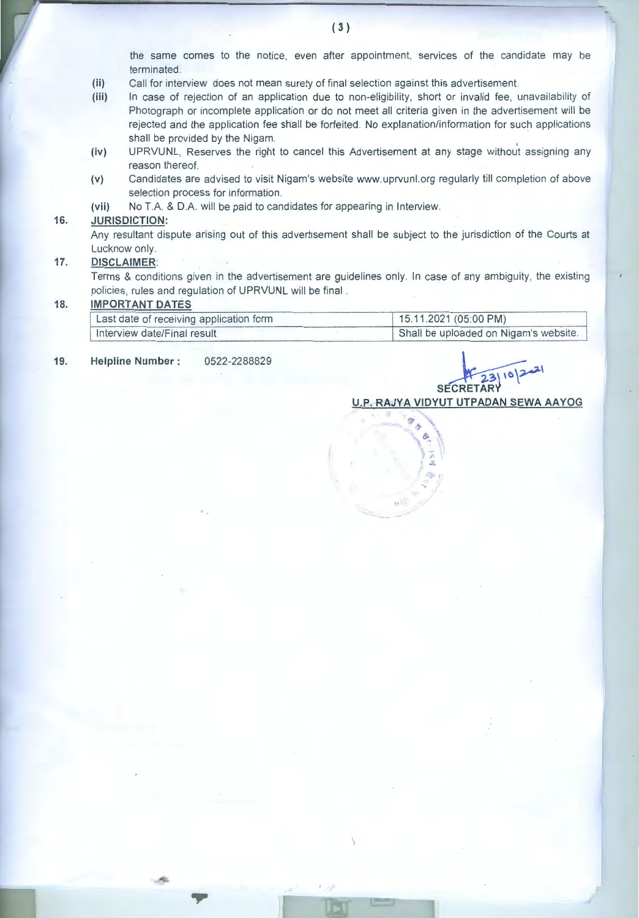the same comes to the notice, even after appointment, services of the candidate may be terminated.

- **(ii)** Call for interview does not mean surety of final selection against this advertisement.
- **(iii)** In case of rejection of an application due to non-eligibility, short or invalid fee, unavailability of Photograph or incomplete application or do not meet all criteria given in the advertisement will be rejected and the application fee shall be forfeited. No explanation/information for such applications shall be provided by the Nigam.
- **(iv)** UPRVUNL, Reserves the right to cancel this Advertisement at any stage without assigning any reason thereof.
- **(v)** Candidates are advised to visit Nigam's website www.uprvunl.org regularly till completion of above selection process for information.
- **(vii)** No T.A. & D.A. will be paid to candidates for appearing in Interview.

#### **16. JURISDICTION:**

Any resultant dispute arising out of this advertisement shall be subject to the jurisdiction of the Courts at Lucknow only.

#### **17. DISCLAIMER:**

Terms & conditions given in the advertisement are guidelines only. In case of any ambiguity, the existing policies, rules and regulation of UPRVUNL will be final .

#### **18. IMPORTANT DATES**

| Last date of receiving application form | 15.11.2021(05:00 PM)                  |
|-----------------------------------------|---------------------------------------|
| Interview date/Final result             | Shall be uploaded on Nigam's website. |

**19. Helpline Number** : 0522-2288829

×.

**SECRETAR**  $x_{23|10|21}$ **Y** 

**U.P. RAJYA VIDYUT UTPADAN SEWA AAYOG** 

 $.$ ' /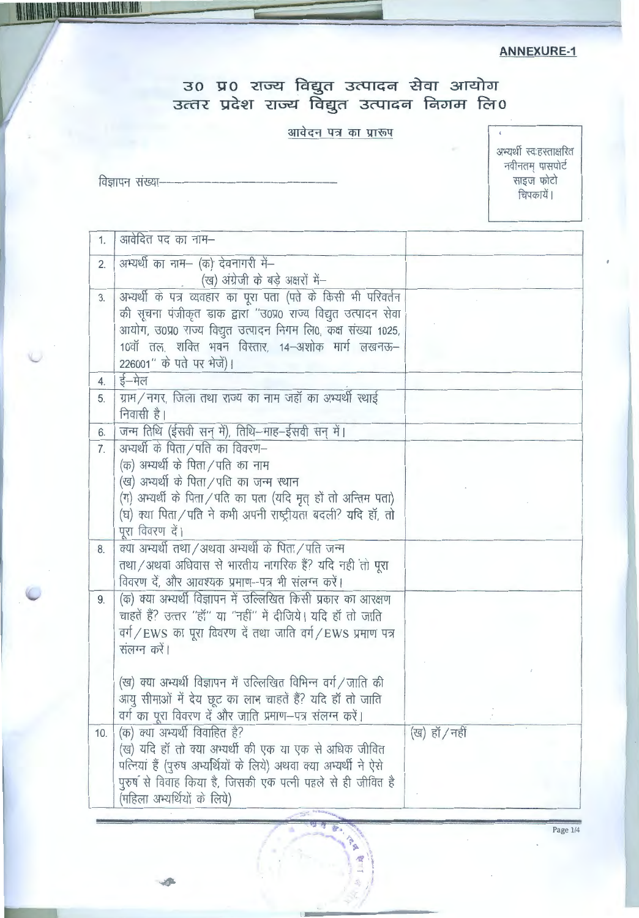## **ANNEXURE-1**

# उ० प्र० राज्य विद्युत उत्पादन सेवा आयोग<br>उत्तर प्रदेश राज्य विद्युत उत्पादन निगम लि०

## आवेदन पत्र का प्रारूप

विज्ञापन संख्या-

I THE RIVER OF REAL PROPERTY OF REAL PROPERTY OF REAL PROPERTY.

अभ्यर्थी स्वःहस्ताक्षरित र नना स्पर्धसानार<br>नवीनतम् पासपोर्ट<br>साइज फोटो<br>चिपकायें।

| 1.  | आवेदित पद का नाम–                                                                                                                                                                                                                                                                 |               |
|-----|-----------------------------------------------------------------------------------------------------------------------------------------------------------------------------------------------------------------------------------------------------------------------------------|---------------|
| 2.  | अभ्यर्थी का नाम- (क) देवनागरी में-<br>(ख) अंग्रेजी के बड़े अक्षरों में–                                                                                                                                                                                                           |               |
| 3.  | अभ्यर्थी के पत्र व्यवहार का पूरा पता (पते के किसी भी परिवर्तन<br>की सूचना पंजीकृत डाक द्वारा "उ०प्र0 राज्य विद्युत उत्पादन सेवा<br>आयोग, उ0प्र0 राज्य विद्युत उत्पादन निगम लि0, कक्ष संख्या 1025,<br>10वॉ तल, शक्ति भवन विस्तार, 14–अशोक मार्ग लखनऊ–<br>226001" के पते पर भेजें)। |               |
| 4.  | ई–मेल                                                                                                                                                                                                                                                                             |               |
| 5.  | ग्राम/नगर, जिला तथा राज्य का नाम जहाँ का अभ्यर्थी स्थाई<br>निवासी है।                                                                                                                                                                                                             |               |
| 6.  | जन्म तिथि (ईसवी सन् में), तिथि-माह-ईसवी सन् में।                                                                                                                                                                                                                                  |               |
| 7.  | अभ्यर्थी के पिता / पति का विवरण-<br>(क) अभ्यर्थी के पिता / पति का नाम<br>(ख) अभ्यर्थी के पिता ⁄ पति का जन्म स्थान<br>(ग) अभ्यर्थी के पिता / पति का पता (यदि मृत् हों तो अन्तिम पता)<br>(घ) क्या पिता / पति ने कभी अपनी राष्ट्रीयता बदली? यदि हॉ, तो<br>पूरा विवरण दें।            |               |
| 8.  | क्या अभ्यर्थी तथा / अथवा अभ्यर्थी के पिता / पति जन्म<br>तथा / अथवा अधिवास से भारतीय नागरिक हैं? यदि नहीं तो पूरा<br>विवरण दें, और आवश्यक प्रमाण-पत्र भी संलग्न करें।                                                                                                              |               |
| 9.  | (क) क्या अभ्यर्थी विज्ञापन में उल्लिखित किसी प्रकार का आरक्षण<br>चाहतें हैं? उत्तर "हॉ" या "नहीं" में दीजिये। यदि हॉ तो जाति<br>वर्ग/EWS का पूरा विवरण दें तथा जाति वर्ग/EWS प्रमाण पत्र<br>संलग्न करें।                                                                          |               |
|     | (ख) क्या अभ्यर्थी विज्ञापन में उल्लिखित विभिन्न वर्ग / जाति की<br>आयु सीमाओं में देय छूट का लाभ चाहतें हैं? यदि हाँ तो जाति<br>वर्ग का पूरा विवरण दें और जाति प्रमाण-पत्र संलग्न करें।                                                                                            |               |
| 10. | (क) क्या अभ्यर्थी विवाहित है?<br>(ख) यदि हॉ तो क्या अभ्यर्थी की एक या एक से अधिक जीवित<br>पत्नियां हैं (पुरुष अभ्यर्थियों के लिये) अथवा क्या अभ्यर्थी ने ऐसे<br>पुरुष से विवाह किया है, जिसकी एक पत्नी पहले से ही जीवित है<br>(महिला अभ्यर्थियों के लिये)                         | (ख) हॉ / नहीं |

岛

**PA** 45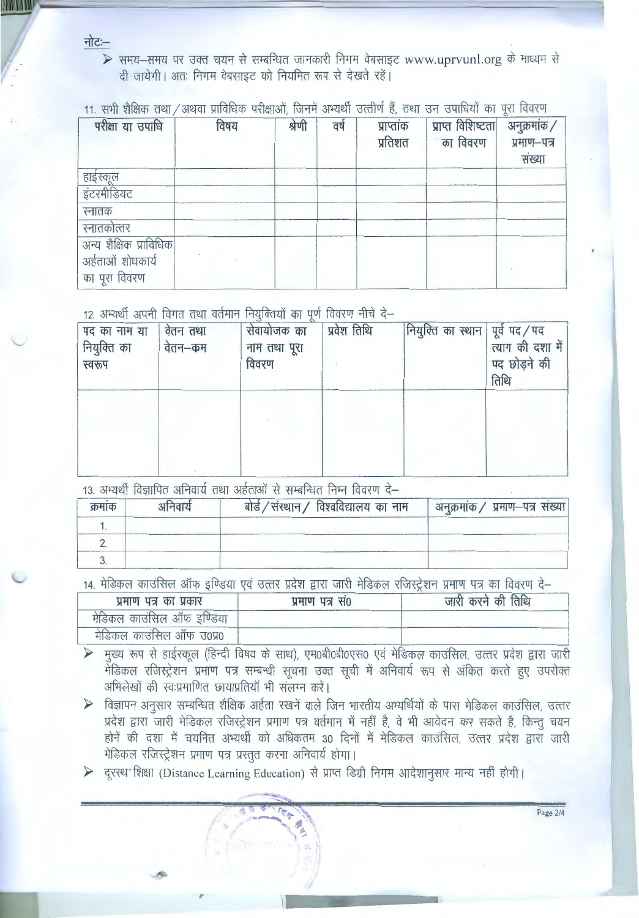नोटः–

**MARKAAN** 

> समय-समय पर उक्त चयन से सम्बन्धित जानकारी निगम वेबसाइट www.uprvunl.org के माध्यम से दी जायेगी। अतः निगम वेबसाइट को नियमित रूप से देखते रहें।

11. सभी शैक्षिक तथा / अथवा प्राविधिक परीक्षाओं, जिनमें अभ्यर्थी उत्तीर्ण हैं, तथा उन उपाधियों का पूरा विवरण

| परीक्षा या उपाधि       | विषय | श्रेणी | वर्ष | प्राप्तांक<br>प्रतिशत | प्राप्त विशिष्टता<br>का विवरण | अनुक्रमांक /<br>प्रमाण-पत्र<br>संख्या |
|------------------------|------|--------|------|-----------------------|-------------------------------|---------------------------------------|
|                        |      |        |      |                       |                               |                                       |
| हाईस्कूल<br>इंटरमीडियट |      |        |      |                       |                               |                                       |
| स्नातक                 |      |        |      |                       |                               |                                       |
| स्नातकोत्तर            |      |        |      |                       |                               |                                       |
| अन्य शैक्षिक प्राविधिक |      |        |      |                       |                               |                                       |
| अर्हताओं शोधकार्य      |      |        |      |                       |                               |                                       |
| का पूरा विवरण          |      |        |      |                       |                               |                                       |

12. अभ्यर्थी अपनी विगत तथा वर्तमान नियुक्तियों का पूर्ण विवरण नीचे दे-

| पद का नाम या<br>नियुक्ति का<br>स्वरूप | वेतन तथा<br>वेतन–कम | सेवायोजक का<br>नाम तथा पूरा<br>विवरण | प्रवेश तिथि | नियुक्ति का स्थान   पूर्व पद / पद | त्याग की दशा में<br>पद छोड़ने की<br>तिथि |
|---------------------------------------|---------------------|--------------------------------------|-------------|-----------------------------------|------------------------------------------|
|                                       |                     |                                      |             |                                   |                                          |

13. अभ्यर्थी विज्ञापित अनिवार्य तथा अर्हताओं से सम्बन्धित निम्न विवरण दे–

| क्रमाक | अनिवार्य | बोर्ड / संस्थान / विश्वविद्यालय का नाम | अनुक्रमांक / प्रमाण-पत्र संख्या |
|--------|----------|----------------------------------------|---------------------------------|
|        |          |                                        |                                 |
|        |          |                                        |                                 |
|        |          |                                        |                                 |

14. मेडिकल काउंसिल ऑफ इण्डिया एवं उत्तर प्रदेश द्वारा जारी मेडिकल रजिस्ट्रेशन प्रमाण पत्र का विवरण दे–

| प्रमाण पत्र का प्रकार      | प्रमाण पत्र स0 | जारी करने की तिथि |
|----------------------------|----------------|-------------------|
| मेडिकल काउंसिल ऑफ इंण्डिया |                |                   |
| मंडिकल काउंसिल ऑफ उ०प्र०   |                |                   |

- ▶ मुख्य रूप से हाईस्कूल (हिन्दी विषय के साथ), एम0बी0बी0एस0 एवं मेडिकल काउंसिल, उत्तर प्रदेश द्वारा जारी मेडिकल रजिस्ट्रेशन प्रमाण पत्र सम्बन्धी सूचना उक्त सूची में अनिवार्य रूप से अंकित करते हुए उपरोक्त अभिलेखों की स्वःप्रमाणित छायाप्रतियाँ भी संलग्न करें।
- > विज्ञापन अनुसार सम्बन्धित शैक्षिक अर्हता रखनें वाले जिन भारतीय अभ्यर्थियों के पास मेडिकल काउंसिल, उत्तर प्रदेश द्वारा जारी मेडिकल रजिस्ट्रेशन प्रमाण पत्र वर्तमान में नहीं है, वे भी आवेदन कर सकते है, किन्तु चयन होनें की दशा में चयनित अभ्यर्थी को अधिकतम 30 दिनों में मेडिकल काउंसिल, उत्तर प्रदेश द्वारा जारी मेडिकल रजिस्ट्रेशन प्रमाण पत्र प्रस्तुत करना अनिवार्य होगा।

Page  $2/4$ 

> दूरस्थ शिक्षा (Distance Learning Education) से प्राप्त डिग्री निगम आदेशानुसार मान्य नहीं होगी।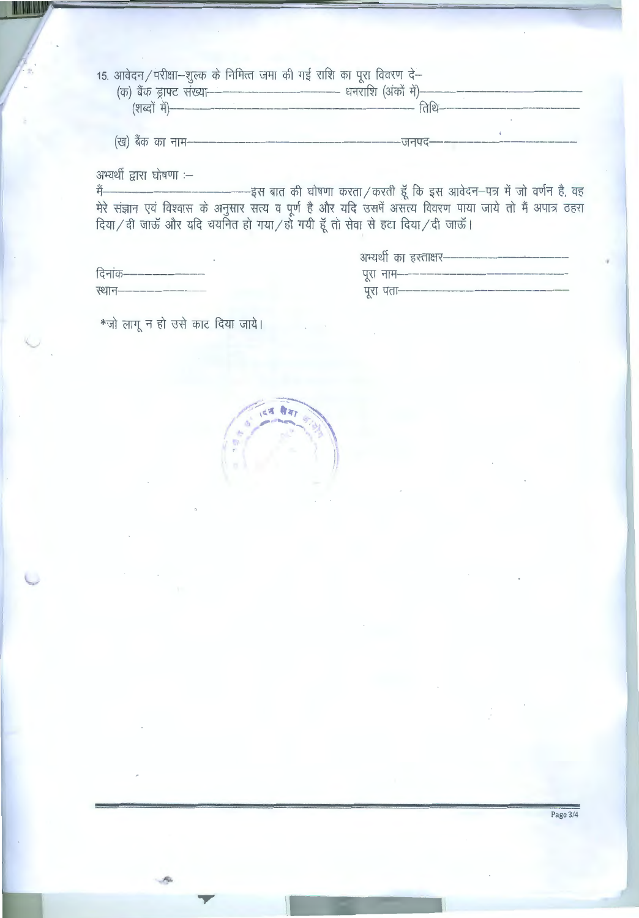| 15. आवेदन / परीक्षा—शुल्क के निमित्त जमा की गई राशि का पूरा विवरण दे—                  |  |
|----------------------------------------------------------------------------------------|--|
| (क) बैंक ड्राफ्ट संख्या-------------------------------- धनराशि (अंकों में)------------ |  |
|                                                                                        |  |
|                                                                                        |  |
| (ख) बैंक का नाम---                                                                     |  |

अभ्यर्थी द्वारा घोषणा :-

**KIMM** 

|                              | अभ्यथी का हस्ताक्षर————————————————           |
|------------------------------|-----------------------------------------------|
| दिनांक—————————              | प् <b>रा नाम---------------------------</b> - |
| स्थान— <del>————————</del> — | पुरा पता——————————————————                    |

\*जो लागू न हो उसे काट दिया जाये।

दन सेवा